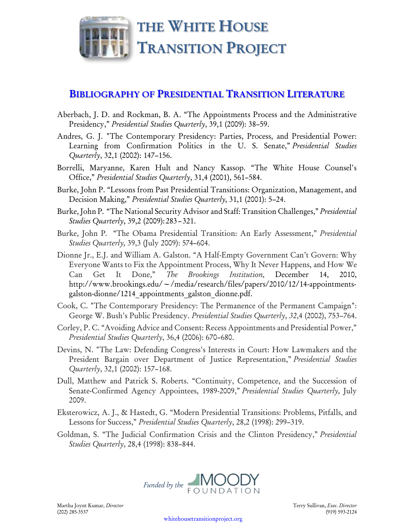

## **BIBLIOGRAPHY OF PRESIDENTIAL TRANSITION LITERATURE**

- Aberbach, J. D. and Rockman, B. A. "The Appointments Process and the Administrative Presidency," *Presidential Studies Quarterly*, 39,1 (2009): 38–59.
- Andres, G. J. "The Contemporary Presidency: Parties, Process, and Presidential Power: Learning from Confirmation Politics in the U. S. Senate," *Presidential Studies Quarterly*, 32,1 (2002): 147–156.
- Borrelli, Maryanne, Karen Hult and Nancy Kassop. "The White House Counsel's Office," *Presidential Studies Quarterly*, 31,4 (2001), 561–584.
- Burke, John P. "Lessons from Past Presidential Transitions: Organization, Management, and Decision Making," *Presidential Studies Quarterly,* 31,1 (2001): 5–24.
- Burke,John P. "The National Security Advisor and Staff: Transition Challenges," *Presidential Studies Quarterly*, 39,2 (2009):283–321.
- Burke, John P. "The Obama Presidential Transition: An Early Assessment," *Presidential Studies Quarterly,* 39,3 (July 2009): 574–604.
- Dionne Jr., E.J. and William A. Galston. "A Half-Empty Government Can't Govern: Why Everyone Wants to Fix the Appointment Process, Why It Never Happens, and How We Can Get It Done," *The Brookings Institution,* December 14, 2010, http://www.brookings.edu/~/media/research/files/papers/2010/12/14-appointmentsgalston-dionne/1214\_appointments\_galston\_dionne.pdf.
- Cook, C. "The Contemporary Presidency: The Permanence of the Permanent Campaign": George W. Bush's Public Presidency. *Presidential Studies Quarterly*, *32*,4 (2002), 753–764.
- Corley, P. C. "Avoiding Advice and Consent: Recess Appointments and Presidential Power," *Presidential Studies Quarterly*, 36,4 (2006): 670–680.
- Devins, N. "The Law: Defending Congress's Interests in Court: How Lawmakers and the President Bargain over Department of Justice Representation," *Presidential Studies Quarterly*, 32,1 (2002): 157–168.
- Dull, Matthew and Patrick S. Roberts. "Continuity, Competence, and the Succession of Senate-Confirmed Agency Appointees, 1989-2009," *Presidential Studies Quarterly,* July 2009.
- Eksterowicz, A. J., & Hastedt, G. "Modern Presidential Transitions: Problems, Pitfalls, and Lessons for Success," *Presidential Studies Quarterly*, 28,2 (1998): 299–319.
- Goldman, S. "The Judicial Confirmation Crisis and the Clinton Presidency," *Presidential Studies Quarterly*, 28,4 (1998): 838–844.

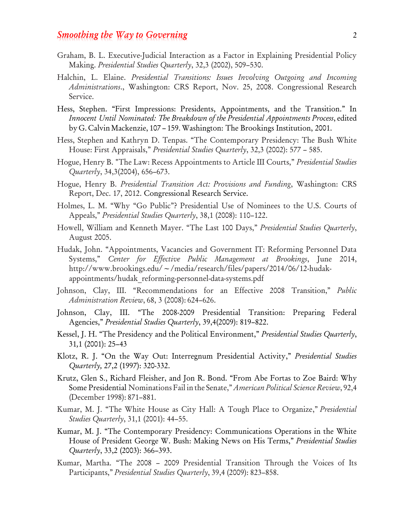## *Smoothing the Way to Governing* 2

- Graham, B. L. Executive-Judicial Interaction as a Factor in Explaining Presidential Policy Making. *Presidential Studies Quarterly*, 32,3 (2002), 509–530.
- Halchin, L. Elaine. *Presidential Transitions: Issues Involving Outgoing and Incoming Administrations*., Washington: CRS Report, Nov. 25, 2008. Congressional Research Service.
- Hess, Stephen. "First Impressions: Presidents, Appointments, and the Transition." In *Innocent Until Nominated: The Breakdown of the Presidential Appointments Process*, edited byG. Calvin Mackenzie, 107 – 159.Washington: The Brookings Institution, 2001.
- Hess, Stephen and Kathryn D. Tenpas. "The Contemporary Presidency: The Bush White House: First Appraisals," *Presidential Studies Quarterly*, 32,3 (2002): 577 – 585.
- Hogue, Henry B. "The Law: Recess Appointments to Article III Courts," *Presidential Studies Quarterly*, 34,3(2004), 656–673.
- Hogue, Henry B. *Presidential Transition Act: Provisions and Funding*, Washington: CRS Report, Dec. 17, 2012. Congressional Research Service.
- Holmes, L. M. "Why "Go Public"? Presidential Use of Nominees to the U.S. Courts of Appeals," *Presidential Studies Quarterly*, 38,1 (2008): 110–122.
- Howell, William and Kenneth Mayer. "The Last 100 Days," *Presidential Studies Quarterly*, August 2005.
- Hudak, John. "Appointments, Vacancies and Government IT: Reforming Personnel Data Systems," *Center for Effective Public Management at Brookings*, June 2014, http://www.brookings.edu/~/media/research/files/papers/2014/06/12-hudakappointments/hudak\_reforming-personnel-data-systems.pdf
- Johnson, Clay, III. "Recommendations for an Effective 2008 Transition," *Public Administration Review*, 68, 3 (2008): 624–626.
- Johnson, Clay, III. "The 2008-2009 Presidential Transition: Preparing Federal Agencies," *Presidential Studies Quarterly*, 39,4(2009): 819–822.
- Kessel, J. H. "The Presidency and the Political Environment," *Presidential Studies Quarterly*, 31*,*1 (2001): 25–43
- Klotz, R. J. "On the Way Out: Interregnum Presidential Activity," *Presidential Studies Quarterly,* 27,2 (1997): 320-332.
- Krutz, Glen S., Richard Fleisher, and Jon R. Bond. "From Abe Fortas to Zoe Baird: Why Some Presidential Nominations Fail in the Senate," *American Political Science Review*, 92,4 (December 1998): 871–881.
- Kumar, M. J. "The White House as City Hall: A Tough Place to Organize," *Presidential Studies Quarterly*, 31,1 (2001): 44–55.
- Kumar, M. J. "The Contemporary Presidency: Communications Operations in the White House of President George W. Bush: Making News on His Terms," *Presidential Studies Quarterly*, 33,2 (2003): 366–393.
- Kumar, Martha. "The 2008 2009 Presidential Transition Through the Voices of Its Participants," *Presidential Studies Quarterly*, 39,4 (2009): 823–858.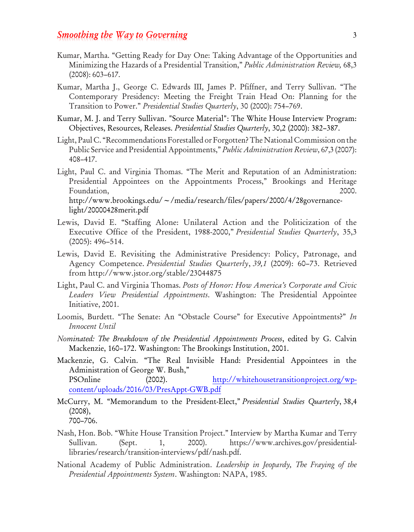## **Smoothing the Way to Governing** 3

- Kumar, Martha. "Getting Ready for Day One: Taking Advantage of the Opportunities and Minimizing the Hazards of a Presidential Transition," *Public Administration Review,* 68,3 (2008): 603–617.
- Kumar, Martha J., George C. Edwards III, James P. Pfiffner, and Terry Sullivan. "The Contemporary Presidency: Meeting the Freight Train Head On: Planning for the Transition to Power." *Presidential Studies Quarterly*, 30 (2000): 754–769.
- Kumar, M. J. and Terry Sullivan. "Source Material": The White House Interview Program: Objectives, Resources, Releases. *Presidential Studies Quarterly*, 30,2 (2000): 382–387.
- Light, Paul C. "Recommendations Forestalled orForgotten?The National Commission on the Public Service and Presidential Appointments," *Public Administration Review*, 67,3 (2007): 408–417.
- Light, Paul C. and Virginia Thomas. "The Merit and Reputation of an Administration: Presidential Appointees on the Appointments Process," Brookings and Heritage Foundation, 2000. http://www.brookings.edu/~/media/research/files/papers/2000/4/28governancelight/20000428merit.pdf
- Lewis, David E. "Staffing Alone: Unilateral Action and the Politicization of the Executive Office of the President, 1988-2000," *Presidential Studies Quarterly*, 35,3 (2005): 496–514.
- Lewis, David E. Revisiting the Administrative Presidency: Policy, Patronage, and Agency Competence. *Presidential Studies Quarterly*, *39,1* (2009): 60–73. Retrieved from http://www.jstor.org/stable/23044875
- Light, Paul C. and Virginia Thomas. *Posts of Honor: How America's Corporate and Civic Leaders View Presidential Appointments*. Washington: The Presidential Appointee Initiative, 2001.
- Loomis, Burdett. "The Senate: An "Obstacle Course" for Executive Appointments?" *In Innocent Until*
- *Nominated: The Breakdown of the Presidential Appointments Process*, edited by G. Calvin Mackenzie, 160–172. Washington: The Brookings Institution, 2001.
- Mackenzie, G. Calvin. "The Real Invisible Hand: Presidential Appointees in the Administration of George W. Bush," PSOnline (2002). [http://whitehousetransitionproject.org/wp](http://whitehousetransitionproject.org/wp-content/uploads/2016/03/PresAppt-GWB.pdf)[content/uploads/2016/03/PresAppt-GWB.pdf](http://whitehousetransitionproject.org/wp-content/uploads/2016/03/PresAppt-GWB.pdf)
- McCurry, M. "Memorandum to the President-Elect," *Presidential Studies Quarterly*, 38,4 (2008), 700–706.
- Nash, Hon. Bob. "White House Transition Project." Interview by Martha Kumar and Terry Sullivan. (Sept. 1, 2000). https:/[/www.archives.gov/presidential](http://www.archives.gov/presidential-libraries/research/transition-interviews/pdf/nash.pdf)[libraries/research/transition-interviews/pdf/nash.pdf.](http://www.archives.gov/presidential-libraries/research/transition-interviews/pdf/nash.pdf)
- National Academy of Public Administration. *Leadership in Jeopardy, The Fraying of the Presidential Appointments System*. Washington: NAPA, 1985.